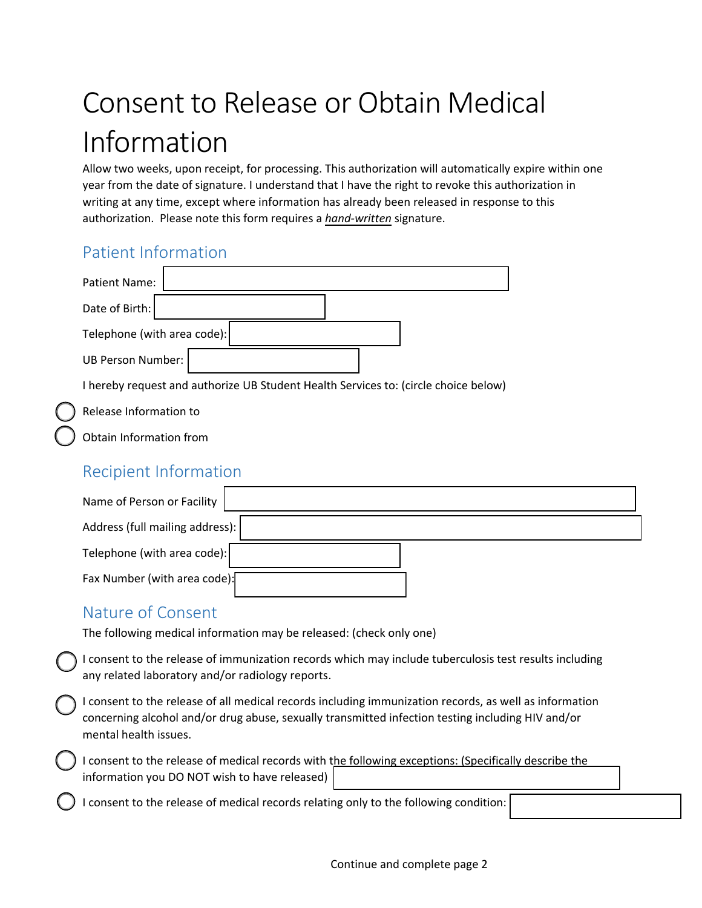# Consent to Release or Obtain Medical Information

 year from the date of signature. I understand that I have the right to revoke this authorization in writing at any time, except where information has already been released in response to this Allow two weeks, upon receipt, for processing. This authorization will automatically expire within one authorization. Please note this form requires a *hand-written* signature.

### Patient Information

| <b>Patient Name:</b>                                                                |  |
|-------------------------------------------------------------------------------------|--|
| Date of Birth:                                                                      |  |
| Telephone (with area code):                                                         |  |
| UB Person Number:                                                                   |  |
| I hereby request and authorize UB Student Health Services to: (circle choice below) |  |

Release Information to

Obtain Information from

#### Recipient Information

| Name of Person or Facility      |  |
|---------------------------------|--|
| Address (full mailing address): |  |
| Telephone (with area code):     |  |
| Fax Number (with area code):    |  |

#### Nature of Consent

The following medical information may be released: (check only one)

I consent to the release of immunization records which may include tuberculosis test results including any related laboratory and/or radiology reports.

I consent to the release of all medical records including immunization records, as well as information concerning alcohol and/or drug abuse, sexually transmitted infection testing including HIV and/or mental health issues.

I consent to the release of medical records with the following exceptions: (Specifically describe the information you DO NOT wish to have released)

I consent to the release of medical records relating only to the following condition: